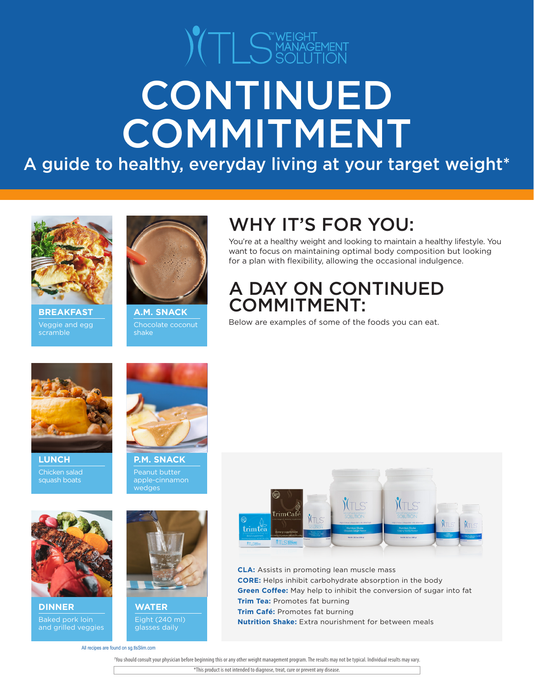# $\sum_{i=1}^{\infty}$   $\sum_{i=1}^{\infty}$  MANAGEMENT CONTINUED COMMITMENT

A guide to healthy, everyday living at your target weight\*



scramble **BREAKFAST**



Chocolate coconut shake **A.M. SNACK**

# WHY IT'S FOR YOU:

You're at a healthy weight and looking to maintain a healthy lifestyle. You want to focus on maintaining optimal body composition but looking for a plan with flexibility, allowing the occasional indulgence.

# A DAY ON CONTINUED COMMITMENT:

 $\overline{V}$   $\overline{V}$   $\overline{V}$  and egg  $\overline{V}$  Chocolate coconut  $\overline{V}$  Below are examples of some of the foods you can eat.



Chicken salad squash boats **LUNCH**

Baked pork loin and grilled veggies

**DINNER**



Peanut butter apple-cinnamon wedges



Eight (240 ml) glasses daily **WATER**

All recipes are found on sg.tlsSlim.com



**CLA:** Assists in promoting lean muscle mass **CORE:** Helps inhibit carbohydrate absorption in the body **Green Coffee:** May help to inhibit the conversion of sugar into fat **Trim Tea:** Promotes fat burning **Trim Café:** Promotes fat burning **Nutrition Shake:** Extra nourishment for between meals

 †You should consult your physician before beginning this or any other weight management program. The results may not be typical. Individual results may vary. \*This product is not intended to diagnose, treat, cure or prevent any disease.